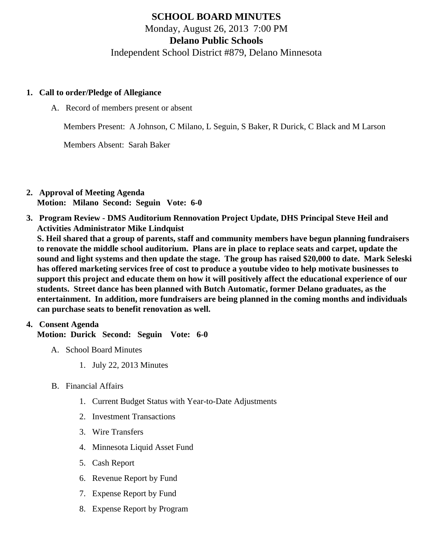# SCHOOL BOARD MINUTES Monday, August 26, 2013 7:00 PM Delano Public Schools Independent School District #879, Delano Minnesota

- 1. Call to order/Pledge of Allegiance
	- A. Record of members present or absent

Members Present: A Johnson, C Milano, L Seguin, S Baker, R Durick, C Black and M Larson

Members Absent: Sarah Baker

- 2. Approval of Meeting Agenda Motion: Milano Second: Seguin Vote: 6-0
- 3. Program Review DMS Auditorium Rennovation Project Update, DHS Principal Steve Heil and Activities Administrator Mike Lindquist

S. Heil shared that a group of parents, staff and community members have begun planning fundraisers to renovate the middle school auditorium. Plans are in place to replace seats and carpet, update the sound and light systems and then update the stage. The group has raised \$20,000 to date. Mark Seleski has offered marketing services free of cost to produce a youtube video to help motivate businesses to support this project and educate them on how it will positively affect the educational experience of our students. Street dance has been planned with Butch Automatic, former Delano graduates, as the entertainment. In addition, more fundraisers are being planned in the coming months and individuals can purchase seats to benefit renovation as well.

## 4. Consent Agenda

Motion: Durick Second: Seguin Vote: 6-0

- A. School Board Minutes
	- 1. [July 22, 2013 Minute](/docs/district/District_Forms/School_Board_Minutes_July_22_Online.pdf)s
- B. Financial Affairs
	- 1. [Current Budget Status with Year-to-Date Adjustm](/docs/district/Business_Office/Budget_Report_Aug_13.pdf)ents
	- 2. [Investment Transactio](/docs/district/Business_Office/Investment_schedule_13-14.pdf  )ns
	- 3. [Wire Transfer](/docs/district/Business_Office/Wire_Transfer.pdf  )s
	- 4. [Minnesota Liquid Asset Fun](/docs/district/Business_Office/Liq_AFY14.pdf  )d
	- 5. [Cash Repo](/docs/district/Business_Office/Cash_Report.pdf  )rt
	- 6. [Revenue Report by Fu](/docs/district/Business_Office/Rev_by_Fund.pdf)nd
	- 7. [Expense Report by Fu](/docs/district/Business_Office/Exp_by_Fund.pdf)nd
	- 8. [Expense Report by Progra](/docs/district/Business_Office/Exp_by_Program.pdf)m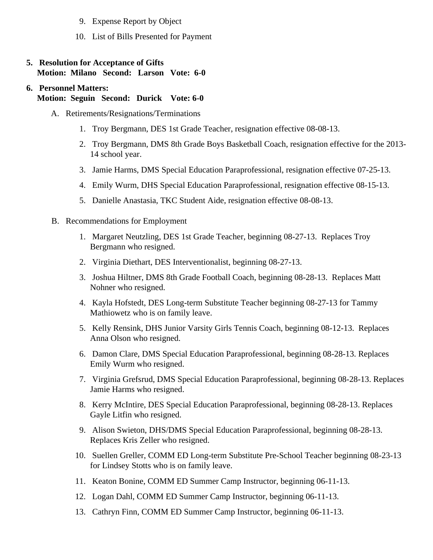- 9. [Expense Report by Obje](/docs/district/Business_Office/Exp_by_Object.pdf)ct
- 10. [List of Bills Presented for Payme](/docs/district/Business_Office/Detail_of_Monthly_Bills_Paid.pdf)nt
- 5. [Resolution for Acceptance of Gifts](/docs/district/Business_Office/Resolution_for_Acceptance_of_Gifts_8.26.13.pdf) Motion: Milano Second: Larson Vote: 6-0
- 6. Personnel Matters: Motion: Seguin Second: Durick Vote: 6-0
	- A. Retirements/Resignations/Terminations
		- 1. Troy Bergmann, DES 1st Grade Teacher, resignation effective 08-08-13.
		- 2. Troy Bergmann, DMS 8th Grade Boys Basketball Coach, resignation effective for the 2013- 14 school year.
		- 3. Jamie Harms, DMS Special Education Paraprofessional, resignation effective 07-25-13.
		- 4. Emily Wurm, DHS Special Education Paraprofessional, resignation effective 08-15-13.
		- 5. Danielle Anastasia, TKC Student Aide, resignation effective 08-08-13.
	- B. Recommendations for Employment
		- 1. Margaret Neutzling, DES 1st Grade Teacher, beginning 08-27-13. Replaces Troy Bergmann who resigned.
		- 2. Virginia Diethart, DES Interventionalist, beginning 08-27-13.
		- 3. Joshua Hiltner, DMS 8th Grade Football Coach, beginning 08-28-13. Replaces Matt Nohner who resigned.
		- 4. Kayla Hofstedt, DES Long-term Substitute Teacher beginning 08-27-13 for Tammy Mathiowetz who is on family leave.
		- 5. Kelly Rensink, DHS Junior Varsity Girls Tennis Coach, beginning 08-12-13. Replaces Anna Olson who resigned.
		- 6. Damon Clare, DMS Special Education Paraprofessional, beginning 08-28-13. Replaces Emily Wurm who resigned.
		- 7. Virginia Grefsrud, DMS Special Education Paraprofessional, beginning 08-28-13. Replaces Jamie Harms who resigned.
		- 8. Kerry McIntire, DES Special Education Paraprofessional, beginning 08-28-13. Replaces Gayle Litfin who resigned.
		- 9. Alison Swieton, DHS/DMS Special Education Paraprofessional, beginning 08-28-13. Replaces Kris Zeller who resigned.
		- 10. Suellen Greller, COMM ED Long-term Substitute Pre-School Teacher beginning 08-23-13 for Lindsey Stotts who is on family leave.
		- 11. Keaton Bonine, COMM ED Summer Camp Instructor, beginning 06-11-13.
		- 12. Logan Dahl, COMM ED Summer Camp Instructor, beginning 06-11-13.
		- 13. Cathryn Finn, COMM ED Summer Camp Instructor, beginning 06-11-13.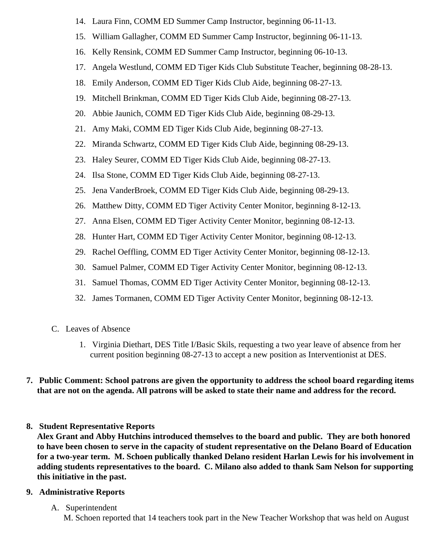- 14. Laura Finn, COMM ED Summer Camp Instructor, beginning 06-11-13.
- 15. William Gallagher, COMM ED Summer Camp Instructor, beginning 06-11-13.
- 16. Kelly Rensink, COMM ED Summer Camp Instructor, beginning 06-10-13.
- 17. Angela Westlund, COMM ED Tiger Kids Club Substitute Teacher, beginning 08-28-13.
- 18. Emily Anderson, COMM ED Tiger Kids Club Aide, beginning 08-27-13.
- 19. Mitchell Brinkman, COMM ED Tiger Kids Club Aide, beginning 08-27-13.
- 20. Abbie Jaunich, COMM ED Tiger Kids Club Aide, beginning 08-29-13.
- 21. Amy Maki, COMM ED Tiger Kids Club Aide, beginning 08-27-13.
- 22. Miranda Schwartz, COMM ED Tiger Kids Club Aide, beginning 08-29-13.
- 23. Haley Seurer, COMM ED Tiger Kids Club Aide, beginning 08-27-13.
- 24. Ilsa Stone, COMM ED Tiger Kids Club Aide, beginning 08-27-13.
- 25. Jena VanderBroek, COMM ED Tiger Kids Club Aide, beginning 08-29-13.
- 26. Matthew Ditty, COMM ED Tiger Activity Center Monitor, beginning 8-12-13.
- 27. Anna Elsen, COMM ED Tiger Activity Center Monitor, beginning 08-12-13.
- 28. Hunter Hart, COMM ED Tiger Activity Center Monitor, beginning 08-12-13.
- 29. Rachel Oeffling, COMM ED Tiger Activity Center Monitor, beginning 08-12-13.
- 30. Samuel Palmer, COMM ED Tiger Activity Center Monitor, beginning 08-12-13.
- 31. Samuel Thomas, COMM ED Tiger Activity Center Monitor, beginning 08-12-13.
- 32. James Tormanen, COMM ED Tiger Activity Center Monitor, beginning 08-12-13.
- C. Leaves of Absence
	- 1. Virginia Diethart, DES Title I/Basic Skils, requesting a two year leave of absence from her current position beginning 08-27-13 to accept a new position as Interventionist at DES.
- **7. Public Comment: School patrons are given the opportunity to address the school board regarding items that are not on the agenda. All patrons will be asked to state their name and address for the record.**
- **8. Student Representative Reports**

**Alex Grant and Abby Hutchins introduced themselves to the board and public. They are both honored to have been chosen to serve in the capacity of student representative on the Delano Board of Education for a two-year term. M. Schoen publically thanked Delano resident Harlan Lewis for his involvement in adding students representatives to the board. C. Milano also added to thank Sam Nelson for supporting this initiative in the past.**

# **9. Administrative Reports**

A. Superintendent

M. Schoen reported that 14 teachers took part in the New Teacher Workshop that was held on August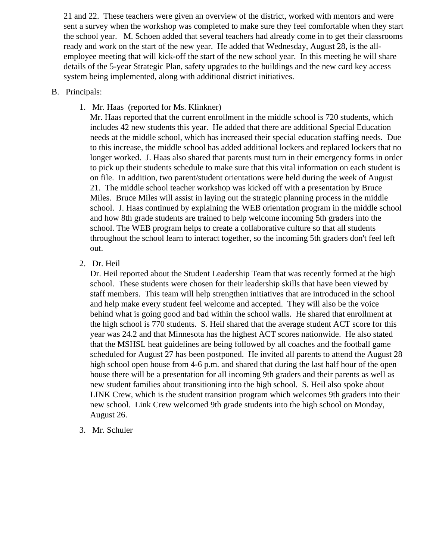21 and 22. These teachers were given an overview of the district, worked with mentors and were sent a survey when the workshop was completed to make sure they feel comfortable when they start the school year. M. Schoen added that several teachers had already come in to get their classrooms ready and work on the start of the new year. He added that Wednesday, August 28, is the allemployee meeting that will kick-off the start of the new school year. In this meeting he will share details of the 5-year Strategic Plan, safety upgrades to the buildings and the new card key access system being implemented, along with additional district initiatives.

#### B. Principals:

1. Mr. Haas (reported for Ms. Klinkner)

Mr. Haas reported that the current enrollment in the middle school is 720 students, which includes 42 new students this year. He added that there are additional Special Education needs at the middle school, which has increased their special education staffing needs. Due to this increase, the middle school has added additional lockers and replaced lockers that no longer worked. J. Haas also shared that parents must turn in their emergency forms in order to pick up their students schedule to make sure that this vital information on each student is on file. In addition, two parent/student orientations were held during the week of August 21. The middle school teacher workshop was kicked off with a presentation by Bruce Miles. Bruce Miles will assist in laying out the strategic planning process in the middle school. J. Haas continued by explaining the WEB orientation program in the middle school and how 8th grade students are trained to help welcome incoming 5th graders into the school. The WEB program helps to create a collaborative culture so that all students throughout the school learn to interact together, so the incoming 5th graders don't feel left out.

2. Dr. Heil

Dr. Heil reported about the Student Leadership Team that was recently formed at the high school. These students were chosen for their leadership skills that have been viewed by staff members. This team will help strengthen initiatives that are introduced in the school and help make every student feel welcome and accepted. They will also be the voice behind what is going good and bad within the school walls. He shared that enrollment at the high school is 770 students. S. Heil shared that the average student ACT score for this year was 24.2 and that Minnesota has the highest ACT scores nationwide. He also stated that the MSHSL heat guidelines are being followed by all coaches and the football game scheduled for August 27 has been postponed. He invited all parents to attend the August 28 high school open house from 4-6 p.m. and shared that during the last half hour of the open house there will be a presentation for all incoming 9th graders and their parents as well as new student families about transitioning into the high school. S. Heil also spoke about LINK Crew, which is the student transition program which welcomes 9th graders into their new school. Link Crew welcomed 9th grade students into the high school on Monday, August 26.

3. Mr. Schuler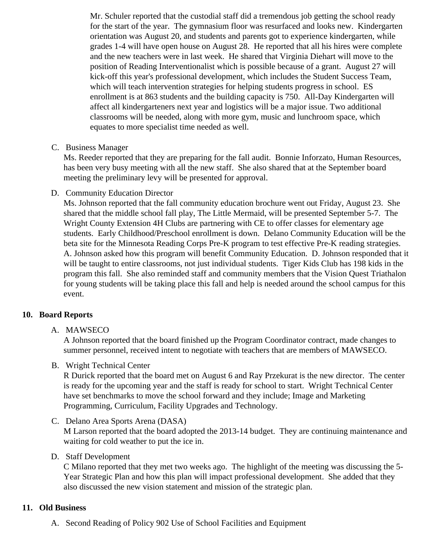Mr. Schuler reported that the custodial staff did a tremendous job getting the school ready for the start of the year. The gymnasium floor was resurfaced and looks new. Kindergarten orientation was August 20, and students and parents got to experience kindergarten, while grades 1-4 will have open house on August 28. He reported that all his hires were complete and the new teachers were in last week. He shared that Virginia Diehart will move to the position of Reading Interventionalist which is possible because of a grant. August 27 will kick-off this year's professional development, which includes the Student Success Team, which will teach intervention strategies for helping students progress in school. ES enrollment is at 863 students and the building capacity is 750. All-Day Kindergarten will affect all kindergarteners next year and logistics will be a major issue. Two additional classrooms will be needed, along with more gym, music and lunchroom space, which equates to more specialist time needed as well.

C. Business Manager

Ms. Reeder reported that they are preparing for the fall audit. Bonnie Inforzato, Human Resources, has been very busy meeting with all the new staff. She also shared that at the September board meeting the preliminary levy will be presented for approval.

D. Community Education Director

Ms. Johnson reported that the fall community education brochure went out Friday, August 23. She shared that the middle school fall play, The Little Mermaid, will be presented September 5-7. The Wright County Extension 4H Clubs are partnering with CE to offer classes for elementary age students. Early Childhood/Preschool enrollment is down. Delano Community Education will be the beta site for the Minnesota Reading Corps Pre-K program to test effective Pre-K reading strategies. A. Johnson asked how this program will benefit Community Education. D. Johnson responded that will be taught to entire classrooms, not just individual students. Tiger Kids Club has 198 kids in the program this fall. She also reminded staff and community members that the Vision Quest Triathald for young students will be taking place this fall and help is needed around the school campus for th event.

## 10. Board Reports

A. MAWSECO

A Johnson reported that the board finished up the Program Coordinator contract, made changes to summer personnel, received intent to negotiate with teachers that are members of MAWSECO.

B. Wright Technical Center

R Durick reported that the board met on August 6 and Ray Przekurat is the new director. The cent is ready for the upcoming year and the staff is ready for school to start. Wright Technical Center have set benchmarks to move the school forward and they include; Image and Marketing Programming, Curriculum, Facility Upgrades and Technology.

C. Delano Area Sports Arena (DASA)

M Larson reported that the board adopted the 2013-14 budget. They are continuing maintenance waiting for cold weather to put the ice in.

D. Staff Development

C Milano reported that they met two weeks ago. The highlight of the meeting was discussing the 5- Year Strategic Plan and how this plan will impact professional development. She added that they also discussed the new vision statement and mission of the strategic plan.

- 11. Old Business
	- A. Second Reading of Polic 02 Use of School Facilities and Equipment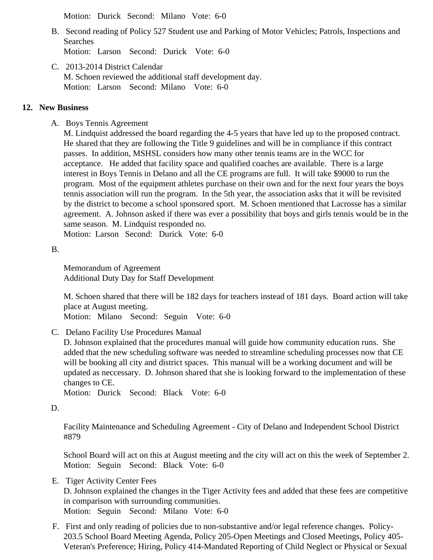Motion: Durick Second: Milano Vote: 6-0

- B. Second reading of Polic5 27 Student use and Parking of Motor Vehicles; Patrols, Inspections and Searches Motion: Larson Second: Durick Vote: 6-0
- C. [2013-2014 District Calend](/docs/district/District_Forms/2013-14_School_District_Calendar-REVISED_8.21.13.pdf )ar M. Schoen reviewed the additional staff development day. Motion: Larson Second: Milano Vote: 6-0
- 12. New Business
	- A. Boys Tenni[s Agreemen](/Tennis_Agreement_August_2013.pdf)t

M. Lindquist addressed the board regarding the 4-5 years that have led up to the proposed contract He shared that they are following the Title 9 guidelines and will be in compliance if this contract passes. In addition, MSHSL considers how many other tennis teams are in the WCC for acceptance. He added that facility space and qualified coaches are available. There is a large interest in Boys Tennis in Delano and all the CE programs are full. It will take \$9000 to run the program. Most of the equipment athletes purchase on their own and for the next four years the boy tennis association will run the program. In the 5th year, the association asks that it will be revisited by the district to become a school sponsored sport. M. Schoen mentioned that Lacrosse has a sim agreement. A. Johnson asked if there was ever a possibility that boys and girls tennis would be in same season. M. Lindquist responded no.

Motion: Larson Second: Durick Vote: 6-0

B.

[Memorandum of Agreeme](/docs/district/District_Forms/MOA_Additional_Staff_Dev_Day.pdf)nt Additional Duty Day for Staff Development

M. Schoen shared that there will be 182 days for teachers instead of 181 days. Board action will ta place at August meeting.

Motion: Milano Second: Seguin Vote: 6-0

C. Delano Facility Use Procedure Sanual

D. Johnson explained that the procedures manual will guide how community education runs. She added that the new scheduling software was needed to streamline scheduling processes now that will be booking all city and district spaces. This manual will be a working document and will be updated as neccessary. D. Johnson shared that she is looking forward to the implementation of the changes to CE.

Motion: Durick Second: Black Vote: 6-0

D.

[Facility Maintenance and Scheduling Agreement - City of Delano and Independent School](/docs/district/District_Forms/902_-_Joint_City_School_Facility_Maintenance_Agreement_with_Diane_and_Phil_s_changes_2013_July_23-REVISED.pdf) District [#879](/docs/district/District_Forms/902_-_Joint_City_School_Facility_Maintenance_Agreement_with_Diane_and_Phil_s_changes_2013_July_23-REVISED.pdf)

School Board will act on this at August meeting and the city will act on this the week of September Motion: Seguin Second: Black Vote: 6-0

- E. Tiger Activity CenterFees D. Johnson explained the changes in the Tiger Activity fees and added that these fees are competi in comparison with surrounding communities. Motion: Seguin Second: Milano Vote: 6-0
- F. First and only reading of policies due to non-substantive and/or legal reference changes. Policy-203.5 School Board Meeting Agenda, Policy 205-Open Meetings and Closed Meetings, Policy 405- Veteran's Preference; Hiring, Policy 414-Mandated Reporting of Child Neglect or Physical or Sexual